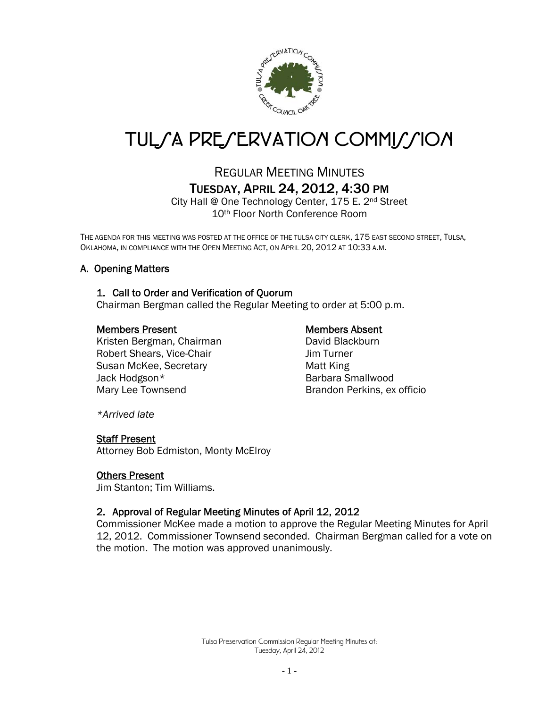

# TUL*SA PRESERVATION COMMISSION*

# REGULAR MEETING MINUTES TUESDAY, APRIL 24, 2012, 4:30 PM

City Hall @ One Technology Center, 175 E. 2nd Street 10th Floor North Conference Room

THE AGENDA FOR THIS MEETING WAS POSTED AT THE OFFICE OF THE TULSA CITY CLERK, 175 EAST SECOND STREET, TULSA, OKLAHOMA, IN COMPLIANCE WITH THE OPEN MEETING ACT, ON APRIL 20, 2012 AT 10:33 A.M.

### A. Opening Matters

#### 1. Call to Order and Verification of Quorum

Chairman Bergman called the Regular Meeting to order at 5:00 p.m.

#### Members Present Members Absent

Kristen Bergman, Chairman David Blackburn Robert Shears, Vice-Chair **Gramma** Jim Turner Susan McKee, Secretary **Matt King** Jack Hodgson\* Barbara Smallwood Mary Lee Townsend Brandon Perkins, ex officio

*\*Arrived late* 

#### Staff Present

Attorney Bob Edmiston, Monty McElroy

#### Others Present

Jim Stanton; Tim Williams.

#### 2. Approval of Regular Meeting Minutes of April 12, 2012

Commissioner McKee made a motion to approve the Regular Meeting Minutes for April 12, 2012. Commissioner Townsend seconded. Chairman Bergman called for a vote on the motion. The motion was approved unanimously.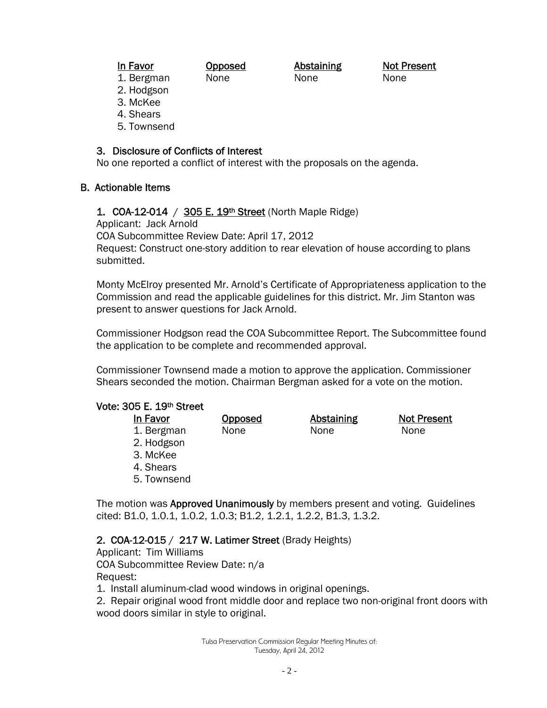In Favor **Opposed** Abstaining Not Present 1. Bergman None None None

- 2. Hodgson
- 3. McKee
- 4. Shears
- 5. Townsend

# 3. Disclosure of Conflicts of Interest

No one reported a conflict of interest with the proposals on the agenda.

# B. Actionable Items

# 1. COA-12-014 / 305 E. 19<sup>th</sup> Street (North Maple Ridge)

Applicant: Jack Arnold

COA Subcommittee Review Date: April 17, 2012

Request: Construct one-story addition to rear elevation of house according to plans submitted.

Monty McElroy presented Mr. Arnold's Certificate of Appropriateness application to the Commission and read the applicable guidelines for this district. Mr. Jim Stanton was present to answer questions for Jack Arnold.

Commissioner Hodgson read the COA Subcommittee Report. The Subcommittee found the application to be complete and recommended approval.

Commissioner Townsend made a motion to approve the application. Commissioner Shears seconded the motion. Chairman Bergman asked for a vote on the motion.

## Vote: 305 E. 19th Street

| In Favor    | <b>Opposed</b> | <b>Abstaining</b> | <b>Not Present</b> |
|-------------|----------------|-------------------|--------------------|
| 1. Bergman  | None           | None              | None               |
| 2. Hodgson  |                |                   |                    |
| 3. McKee    |                |                   |                    |
| 4. Shears   |                |                   |                    |
| 5. Townsend |                |                   |                    |

The motion was Approved Unanimously by members present and voting. Guidelines cited: B1.0, 1.0.1, 1.0.2, 1.0.3; B1.2, 1.2.1, 1.2.2, B1.3, 1.3.2.

# 2. COA-12-015 / 217 W. Latimer Street (Brady Heights)

Applicant: Tim Williams COA Subcommittee Review Date: n/a

Request:

- 1. Install aluminum-clad wood windows in original openings.
- 2. Repair original wood front middle door and replace two non-original front doors with wood doors similar in style to original.

Tulsa Preservation Commission Regular Meeting Minutes of: Tuesday, April 24, 2012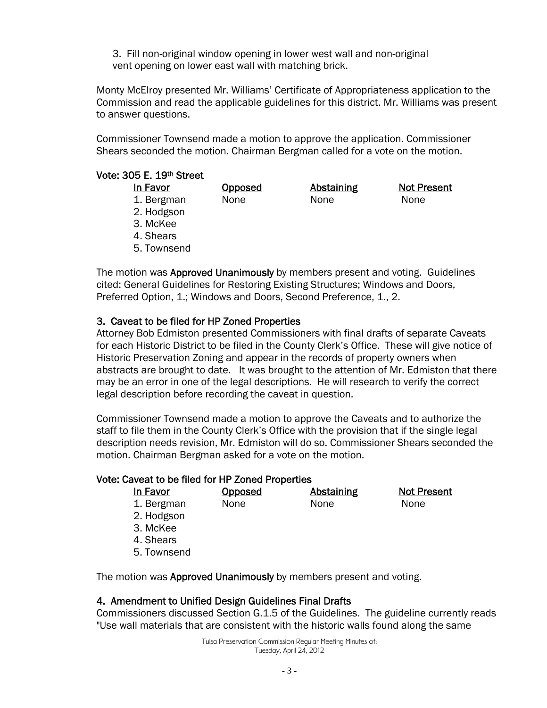3. Fill non-original window opening in lower west wall and non-original vent opening on lower east wall with matching brick.

Monty McElroy presented Mr. Williams' Certificate of Appropriateness application to the Commission and read the applicable guidelines for this district. Mr. Williams was present to answer questions.

Commissioner Townsend made a motion to approve the application. Commissioner Shears seconded the motion. Chairman Bergman called for a vote on the motion.

#### Vote: 305 E. 19th Street

| In Favor    | Opposed | Abstaining | <b>Not Present</b> |
|-------------|---------|------------|--------------------|
| 1. Bergman  | None    | None       | None               |
| 2. Hodgson  |         |            |                    |
| 3. McKee    |         |            |                    |
| 4. Shears   |         |            |                    |
| 5. Townsend |         |            |                    |
|             |         |            |                    |

The motion was Approved Unanimously by members present and voting. Guidelines cited: General Guidelines for Restoring Existing Structures; Windows and Doors, Preferred Option, 1.; Windows and Doors, Second Preference, 1., 2.

#### 3. Caveat to be filed for HP Zoned Properties

Attorney Bob Edmiston presented Commissioners with final drafts of separate Caveats for each Historic District to be filed in the County Clerk's Office. These will give notice of Historic Preservation Zoning and appear in the records of property owners when abstracts are brought to date. It was brought to the attention of Mr. Edmiston that there may be an error in one of the legal descriptions. He will research to verify the correct legal description before recording the caveat in question.

Commissioner Townsend made a motion to approve the Caveats and to authorize the staff to file them in the County Clerk's Office with the provision that if the single legal description needs revision, Mr. Edmiston will do so. Commissioner Shears seconded the motion. Chairman Bergman asked for a vote on the motion.

#### Vote: Caveat to be filed for HP Zoned Properties

| In Favor    | Opposed | Abstaining | <b>Not Present</b> |
|-------------|---------|------------|--------------------|
| 1. Bergman  | None    | None       | None               |
| 2. Hodgson  |         |            |                    |
| 3. McKee    |         |            |                    |
| 4. Shears   |         |            |                    |
| 5. Townsend |         |            |                    |
|             |         |            |                    |

The motion was Approved Unanimously by members present and voting.

#### 4. Amendment to Unified Design Guidelines Final Drafts

Commissioners discussed Section G.1.5 of the Guidelines. The guideline currently reads "Use wall materials that are consistent with the historic walls found along the same